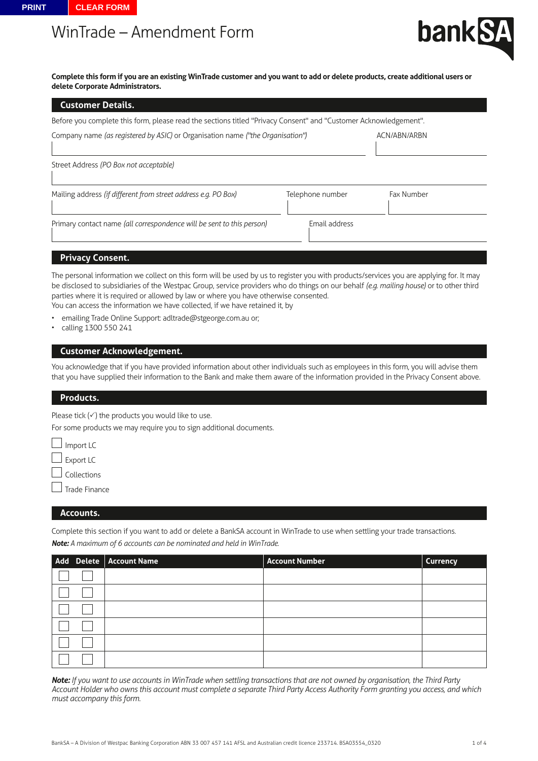# WinTrade – Amendment Form



**Complete this form if you are an existing WinTrade customer and you want to add or delete products, create additional users or delete Corporate Administrators.**

| <b>Customer Details.</b>                                                                                         |                  |            |
|------------------------------------------------------------------------------------------------------------------|------------------|------------|
| Before you complete this form, please read the sections titled "Privacy Consent" and "Customer Acknowledgement". |                  |            |
| Company name (as registered by ASIC) or Organisation name ("the Organisation")                                   | ACN/ABN/ARBN     |            |
| Street Address (PO Box not acceptable)                                                                           |                  |            |
| Mailing address (if different from street address e.g. PO Box)                                                   | Telephone number | Fax Number |
| Primary contact name (all correspondence will be sent to this person)                                            | Email address    |            |

#### **Privacy Consent.**

The personal information we collect on this form will be used by us to register you with products/services you are applying for. It may be disclosed to subsidiaries of the Westpac Group, service providers who do things on our behalf *(e.g. mailing house)* or to other third parties where it is required or allowed by law or where you have otherwise consented. You can access the information we have collected, if we have retained it, by

- emailing Trade Online Support: adltrade@stgeorge.com.au or;
- calling 1300 550 241

## **Customer Acknowledgement.**

You acknowledge that if you have provided information about other individuals such as employees in this form, you will advise them that you have supplied their information to the Bank and make them aware of the information provided in the Privacy Consent above.

#### **Products.**

Please tick  $(\checkmark)$  the products you would like to use.

For some products we may require you to sign additional documents.

 $\Box$  Import LC Export LC Collections Trade Finance

#### **Accounts.**

Complete this section if you want to add or delete a BankSA account in WinTrade to use when settling your trade transactions. *Note: A maximum of 6 accounts can be nominated and held in WinTrade.*

| Add Delete   Account Name | Account Number | <b>Currency</b> |
|---------------------------|----------------|-----------------|
|                           |                |                 |
|                           |                |                 |
|                           |                |                 |
|                           |                |                 |
|                           |                |                 |
|                           |                |                 |

*Note: If you want to use accounts in WinTrade when settling transactions that are not owned by organisation, the Third Party Account Holder who owns this account must complete a separate Third Party Access Authority Form granting you access, and which must accompany this form.*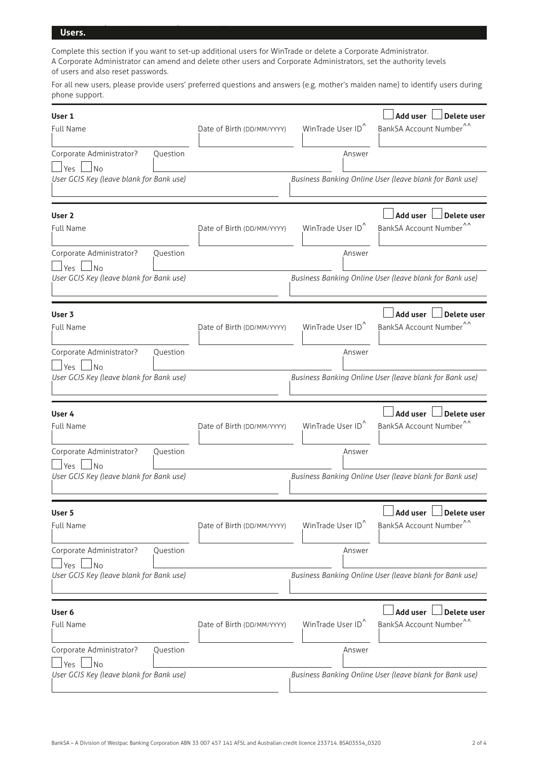## Win<mark>ters.</mark> WinTrade – American Form  $\mathcal{L}(\mathcal{A})$

Complete this section if you want to set-up additional users for WinTrade or delete a Corporate Administrator. A Corporate Administrator can amend and delete other users and Corporate Administrators, set the authority levels of users and also reset passwords.

For all new users, please provide users' preferred questions and answers (e.g. mother's maiden name) to identify users during phone support.

| User 1<br><b>Full Name</b>                                    |          | Date of Birth (DD/MM/YYYY) | WinTrade User ID <sup>^</sup> | Add user<br><b>Delete user</b><br>BankSA Account Number <sup>^^</sup> |  |
|---------------------------------------------------------------|----------|----------------------------|-------------------------------|-----------------------------------------------------------------------|--|
| Corporate Administrator?<br>$\exists$ Yes $\Box$ No           | Question |                            | Answer                        |                                                                       |  |
| User GCIS Key (leave blank for Bank use)                      |          |                            |                               | Business Banking Online User (leave blank for Bank use)               |  |
| User <sub>2</sub><br><b>Full Name</b>                         |          | Date of Birth (DD/MM/YYYY) | WinTrade User ID <sup>^</sup> | Add user<br><b>Delete user</b><br>BankSA Account Number <sup>^^</sup> |  |
| Corporate Administrator?<br>⊿No<br>l Yes                      | Question |                            | Answer                        |                                                                       |  |
| User GCIS Key (leave blank for Bank use)                      |          |                            |                               | Business Banking Online User (leave blank for Bank use)               |  |
| User 3<br>Full Name                                           |          | Date of Birth (DD/MM/YYYY) | WinTrade User ID <sup>^</sup> | Add user<br>Delete user<br>BankSA Account Number                      |  |
| Corporate Administrator?                                      | Ouestion |                            | Answer                        |                                                                       |  |
| <b>Yes</b><br>No.<br>User GCIS Key (leave blank for Bank use) |          |                            |                               | Business Banking Online User (leave blank for Bank use)               |  |
| User 4<br><b>Full Name</b>                                    |          | Date of Birth (DD/MM/YYYY) | WinTrade User ID <sup>^</sup> | Add user<br>Delete user<br>BankSA Account Number                      |  |
| Corporate Administrator?<br><b>Yes</b><br>N <sub>0</sub>      | Question |                            | Answer                        |                                                                       |  |
| User GCIS Key (leave blank for Bank use)                      |          |                            |                               | Business Banking Online User (leave blank for Bank use)               |  |
| User 5<br><b>Full Name</b>                                    |          | Date of Birth (DD/MM/YYYY) | WinTrade User ID <sup>^</sup> | Add user<br>Delete user<br>BankSA Account Number <sup>^^</sup>        |  |
| Corporate Administrator?<br><b>No</b><br>Yes                  | Question |                            | Answer                        |                                                                       |  |
| User GCIS Key (leave blank for Bank use)                      |          |                            |                               | Business Banking Online User (leave blank for Bank use)               |  |
| User 6<br><b>Full Name</b>                                    |          | Date of Birth (DD/MM/YYYY) | WinTrade User ID <sup>^</sup> | Add user<br><b>Delete user</b><br>BankSA Account Number <sup>^^</sup> |  |
| Corporate Administrator?<br><b>No</b><br>Yes                  | Question |                            | Answer                        |                                                                       |  |
| User GCIS Key (leave blank for Bank use)                      |          |                            |                               | Business Banking Online User (leave blank for Bank use)               |  |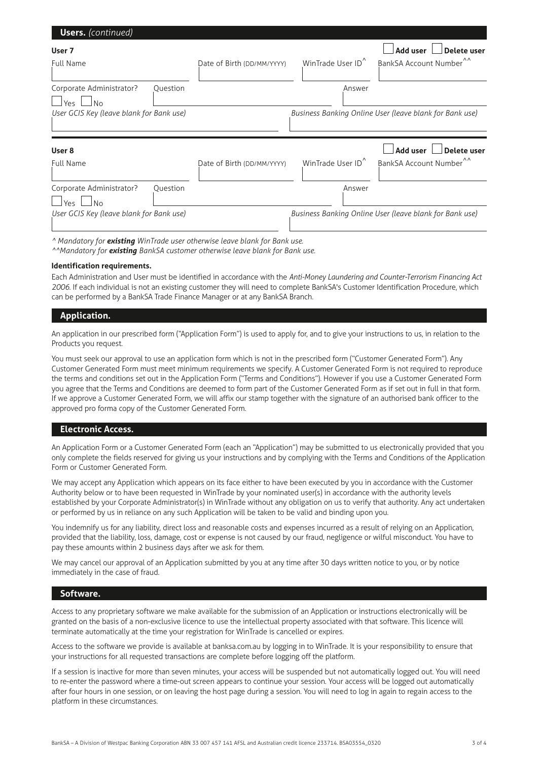| <b>Users.</b> (continued)                                       |                            |                               |                                                                       |
|-----------------------------------------------------------------|----------------------------|-------------------------------|-----------------------------------------------------------------------|
| User 7<br><b>Full Name</b>                                      | Date of Birth (DD/MM/YYYY) | WinTrade User ID <sup>^</sup> | <b>Add user</b><br>Delete user<br>BankSA Account Number <sup>^^</sup> |
|                                                                 |                            |                               |                                                                       |
| Corporate Administrator?<br>Ouestion<br>N <sub>o</sub><br>Yes.  |                            | Answer                        |                                                                       |
| User GCIS Key (leave blank for Bank use)                        |                            |                               | Business Banking Online User (leave blank for Bank use)               |
|                                                                 |                            |                               |                                                                       |
| User 8                                                          |                            |                               | <b>Add user</b><br>Delete user                                        |
| <b>Full Name</b>                                                | Date of Birth (DD/MM/YYYY) | WinTrade User ID <sup>^</sup> | BankSA Account Number <sup>^^</sup>                                   |
| Corporate Administrator?<br>Ouestion<br><b>No</b><br><b>Yes</b> |                            | Answer                        |                                                                       |

*^ Mandatory for existing WinTrade user otherwise leave blank for Bank use.*

*^^Mandatory for existing BankSA customer otherwise leave blank for Bank use.*

#### **Identification requirements.**

Each Administration and User must be identified in accordance with the *Anti-Money Laundering and Counter-Terrorism Financing Act 2006*. If each individual is not an existing customer they will need to complete BankSA's Customer Identification Procedure, which can be performed by a BankSA Trade Finance Manager or at any BankSA Branch.

## **Application.**

An application in our prescribed form ("Application Form") is used to apply for, and to give your instructions to us, in relation to the Products you request.

You must seek our approval to use an application form which is not in the prescribed form ("Customer Generated Form"). Any Customer Generated Form must meet minimum requirements we specify. A Customer Generated Form is not required to reproduce the terms and conditions set out in the Application Form ("Terms and Conditions"). However if you use a Customer Generated Form you agree that the Terms and Conditions are deemed to form part of the Customer Generated Form as if set out in full in that form. If we approve a Customer Generated Form, we will affix our stamp together with the signature of an authorised bank officer to the approved pro forma copy of the Customer Generated Form.

## **Electronic Access.**

An Application Form or a Customer Generated Form (each an "Application") may be submitted to us electronically provided that you only complete the fields reserved for giving us your instructions and by complying with the Terms and Conditions of the Application Form or Customer Generated Form.

We may accept any Application which appears on its face either to have been executed by you in accordance with the Customer Authority below or to have been requested in WinTrade by your nominated user(s) in accordance with the authority levels established by your Corporate Administrator(s) in WinTrade without any obligation on us to verify that authority. Any act undertaken or performed by us in reliance on any such Application will be taken to be valid and binding upon you.

You indemnify us for any liability, direct loss and reasonable costs and expenses incurred as a result of relying on an Application, provided that the liability, loss, damage, cost or expense is not caused by our fraud, negligence or wilful misconduct. You have to pay these amounts within 2 business days after we ask for them.

We may cancel our approval of an Application submitted by you at any time after 30 days written notice to you, or by notice immediately in the case of fraud.

#### **Software.**

Access to any proprietary software we make available for the submission of an Application or instructions electronically will be granted on the basis of a non-exclusive licence to use the intellectual property associated with that software. This licence will terminate automatically at the time your registration for WinTrade is cancelled or expires.

Access to the software we provide is available at banksa.com.au by logging in to WinTrade. It is your responsibility to ensure that your instructions for all requested transactions are complete before logging off the platform.

If a session is inactive for more than seven minutes, your access will be suspended but not automatically logged out. You will need to re-enter the password where a time-out screen appears to continue your session. Your access will be logged out automatically after four hours in one session, or on leaving the host page during a session. You will need to log in again to regain access to the platform in these circumstances.